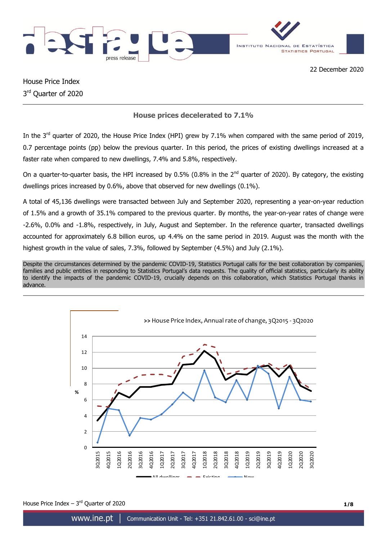



House Price Index 3<sup>rd</sup> Quarter of 2020

# **House prices decelerated to 7.1%**

In the 3<sup>rd</sup> quarter of 2020, the House Price Index (HPI) grew by 7.1% when compared with the same period of 2019, 0.7 percentage points (pp) below the previous quarter. In this period, the prices of existing dwellings increased at a faster rate when compared to new dwellings, 7.4% and 5.8%, respectively.

On a quarter-to-quarter basis, the HPI increased by 0.5% (0.8% in the 2<sup>nd</sup> quarter of 2020). By category, the existing dwellings prices increased by 0.6%, above that observed for new dwellings (0.1%).

A total of 45,136 dwellings were transacted between July and September 2020, representing a year-on-year reduction of 1.5% and a growth of 35.1% compared to the previous quarter. By months, the year-on-year rates of change were -2.6%, 0.0% and -1.8%, respectively, in July, August and September. In the reference quarter, transacted dwellings accounted for approximately 6.8 billion euros, up 4.4% on the same period in 2019. August was the month with the highest growth in the value of sales, 7.3%, followed by September (4.5%) and July (2.1%).

Despite the circumstances determined by the pandemic COVID-19, Statistics Portugal calls for the best collaboration by companies, families and public entities in responding to Statistics Portugal's data requests. The quality of official statistics, particularly its ability to identify the impacts of the pandemic COVID-19, crucially depends on this collaboration, which Statistics Portugal thanks in advance.



House Price Index  $-3^{rd}$  Quarter of 2020 **1/8**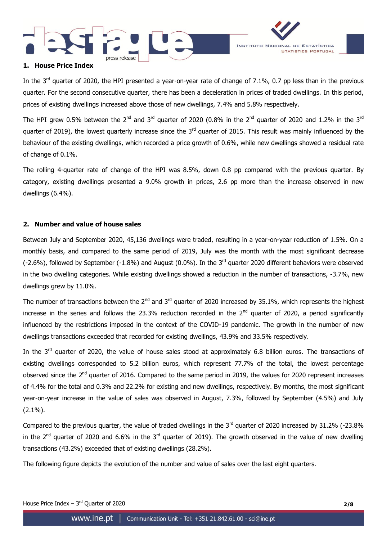



## **1. House Price Index**

In the 3<sup>rd</sup> quarter of 2020, the HPI presented a year-on-year rate of change of 7.1%, 0.7 pp less than in the previous quarter. For the second consecutive quarter, there has been a deceleration in prices of traded dwellings. In this period, prices of existing dwellings increased above those of new dwellings, 7.4% and 5.8% respectively.

The HPI grew 0.5% between the 2<sup>nd</sup> and 3<sup>rd</sup> quarter of 2020 (0.8% in the 2<sup>nd</sup> quarter of 2020 and 1.2% in the 3<sup>rd</sup> quarter of 2019), the lowest quarterly increase since the  $3<sup>rd</sup>$  quarter of 2015. This result was mainly influenced by the behaviour of the existing dwellings, which recorded a price growth of 0.6%, while new dwellings showed a residual rate of change of 0.1%.

The rolling 4-quarter rate of change of the HPI was 8.5%, down 0.8 pp compared with the previous quarter. By category, existing dwellings presented a 9.0% growth in prices, 2.6 pp more than the increase observed in new dwellings (6.4%).

## **2. Number and value of house sales**

Between July and September 2020, 45,136 dwellings were traded, resulting in a year-on-year reduction of 1.5%. On a monthly basis, and compared to the same period of 2019, July was the month with the most significant decrease  $(-2.6%)$ , followed by September  $(-1.8%)$  and August  $(0.0%)$ . In the 3<sup>rd</sup> quarter 2020 different behaviors were observed in the two dwelling categories. While existing dwellings showed a reduction in the number of transactions, -3.7%, new dwellings grew by 11.0%.

The number of transactions between the 2<sup>nd</sup> and 3<sup>rd</sup> quarter of 2020 increased by 35.1%, which represents the highest increase in the series and follows the 23.3% reduction recorded in the  $2^{nd}$  quarter of 2020, a period significantly influenced by the restrictions imposed in the context of the COVID-19 pandemic. The growth in the number of new dwellings transactions exceeded that recorded for existing dwellings, 43.9% and 33.5% respectively.

In the 3<sup>rd</sup> quarter of 2020, the value of house sales stood at approximately 6.8 billion euros. The transactions of existing dwellings corresponded to 5.2 billion euros, which represent 77.7% of the total, the lowest percentage observed since the 2<sup>nd</sup> quarter of 2016. Compared to the same period in 2019, the values for 2020 represent increases of 4.4% for the total and 0.3% and 22.2% for existing and new dwellings, respectively. By months, the most significant year-on-year increase in the value of sales was observed in August, 7.3%, followed by September (4.5%) and July (2.1%).

Compared to the previous quarter, the value of traded dwellings in the  $3<sup>rd</sup>$  quarter of 2020 increased by 31.2% (-23.8%) in the 2<sup>nd</sup> quarter of 2020 and 6.6% in the 3<sup>rd</sup> quarter of 2019). The growth observed in the value of new dwelling transactions (43.2%) exceeded that of existing dwellings (28.2%).

The following figure depicts the evolution of the number and value of sales over the last eight quarters.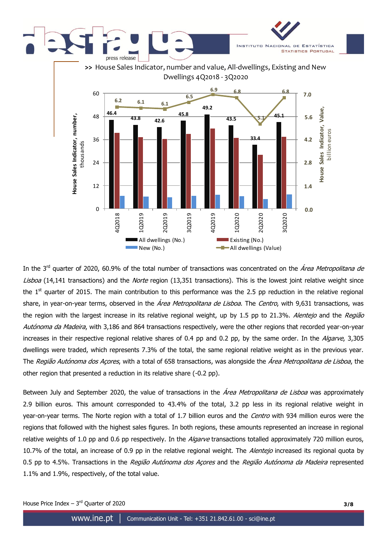

In the 3<sup>rd</sup> quarter of 2020, 60.9% of the total number of transactions was concentrated on the *Área Metropolitana de* Lisboa (14,141 transactions) and the Norte region (13,351 transactions). This is the lowest joint relative weight since the  $1<sup>st</sup>$  quarter of 2015. The main contribution to this performance was the 2.5 pp reduction in the relative regional share, in year-on-year terms, observed in the *Área Metropolitana de Lisboa*. The *Centro*, with 9,631 transactions, was the region with the largest increase in its relative regional weight, up by 1.5 pp to 21.3%. Alentejo and the Região Autónoma da Madeira, with 3,186 and 864 transactions respectively, were the other regions that recorded year-on-year increases in their respective regional relative shares of 0.4 pp and 0.2 pp, by the same order. In the *Algarve*, 3,305 dwellings were traded, which represents 7.3% of the total, the same regional relative weight as in the previous year. The Região Autónoma dos Acores, with a total of 658 transactions, was alongside the Área Metropolitana de Lisboa, the other region that presented a reduction in its relative share (-0.2 pp).

Between July and September 2020, the value of transactions in the *Área Metropolitana de Lisboa* was approximately 2.9 billion euros. This amount corresponded to 43.4% of the total, 3.2 pp less in its regional relative weight in year-on-year terms. The Norte region with a total of 1.7 billion euros and the Centro with 934 million euros were the regions that followed with the highest sales figures. In both regions, these amounts represented an increase in regional relative weights of 1.0 pp and 0.6 pp respectively. In the *Algarve* transactions totalled approximately 720 million euros, 10.7% of the total, an increase of 0.9 pp in the relative regional weight. The Alentejo increased its regional quota by 0.5 pp to 4.5%. Transactions in the Região Autónoma dos Acores and the Região Autónoma da Madeira represented 1.1% and 1.9%, respectively, of the total value.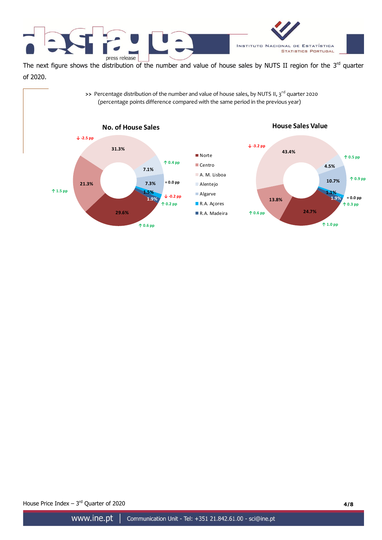



The next figure shows the distribution of the number and value of house sales by NUTS II region for the  $3^{rd}$  quarter of 2020. **EXECUTE:** We are distribution of the number and value of house sales by NUTS II region for<br>
>> Percentage distribution of the number and value of house sales, by NUTS II, 3<sup>rd</sup> quarter 2020<br>
(percentage points difference

(percentage points difference compared with the same period in the previous year)



House Price Index – 3<sup>rd</sup> Quarter of 2020 **4/8**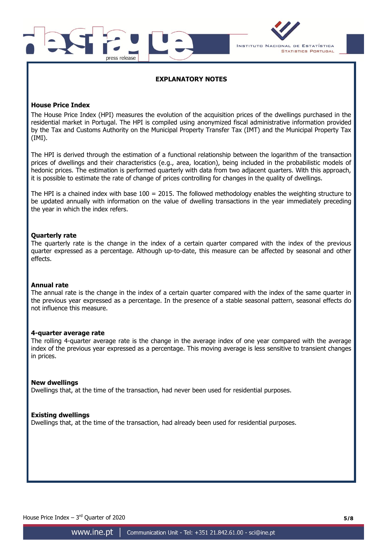



## **EXPLANATORY NOTES**

## **House Price Index**

The House Price Index (HPI) measures the evolution of the acquisition prices of the dwellings purchased in the residential market in Portugal. The HPI is compiled using anonymized fiscal administrative information provided by the Tax and Customs Authority on the Municipal Property Transfer Tax (IMT) and the Municipal Property Tax (IMI).

The HPI is derived through the estimation of a functional relationship between the logarithm of the transaction prices of dwellings and their characteristics (e.g., area, location), being included in the probabilistic models of hedonic prices. The estimation is performed quarterly with data from two adjacent quarters. With this approach, it is possible to estimate the rate of change of prices controlling for changes in the quality of dwellings.

The HPI is a chained index with base 100 = 2015. The followed methodology enables the weighting structure to be updated annually with information on the value of dwelling transactions in the year immediately preceding the year in which the index refers.

## **Quarterly rate**

The quarterly rate is the change in the index of a certain quarter compared with the index of the previous quarter expressed as a percentage. Although up-to-date, this measure can be affected by seasonal and other effects.

## **Annual rate**

The annual rate is the change in the index of a certain quarter compared with the index of the same quarter in the previous year expressed as a percentage. In the presence of a stable seasonal pattern, seasonal effects do not influence this measure.

## **4-quarter average rate**

The rolling 4-quarter average rate is the change in the average index of one year compared with the average index of the previous year expressed as a percentage. This moving average is less sensitive to transient changes in prices.

### **New dwellings**

Dwellings that, at the time of the transaction, had never been used for residential purposes.

## **Existing dwellings**

Dwellings that, at the time of the transaction, had already been used for residential purposes.

House Price Index – 3<sup>rd</sup> Quarter of 2020 **5/8**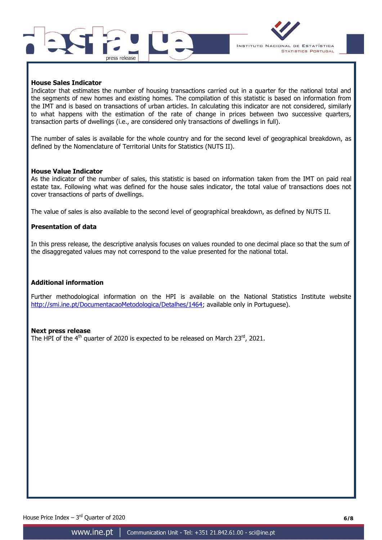



## **House Sales Indicator**

Indicator that estimates the number of housing transactions carried out in a quarter for the national total and the segments of new homes and existing homes. The compilation of this statistic is based on information from the IMT and is based on transactions of urban articles. In calculating this indicator are not considered, similarly to what happens with the estimation of the rate of change in prices between two successive quarters, transaction parts of dwellings (i.e., are considered only transactions of dwellings in full).

The number of sales is available for the whole country and for the second level of geographical breakdown, as defined by the Nomenclature of Territorial Units for Statistics (NUTS II).

### **House Value Indicator**

As the indicator of the number of sales, this statistic is based on information taken from the IMT on paid real estate tax. Following what was defined for the house sales indicator, the total value of transactions does not cover transactions of parts of dwellings.

The value of sales is also available to the second level of geographical breakdown, as defined by NUTS II.

### **Presentation of data**

In this press release, the descriptive analysis focuses on values rounded to one decimal place so that the sum of the disaggregated values may not correspond to the value presented for the national total.

### **Additional information**

Further methodological information on the HPI is available on the National Statistics Institute website [http://smi.ine.pt/DocumentacaoMetodologica/Detalhes/1464;](http://smi.ine.pt/DocumentacaoMetodologica/Detalhes/1464) available only in Portuguese).

### **Next press release**

The HPI of the 4<sup>th</sup> quarter of 2020 is expected to be released on March 23<sup>rd</sup>, 2021.

House Price Index – 3<sup>rd</sup> Quarter of 2020 **6/8**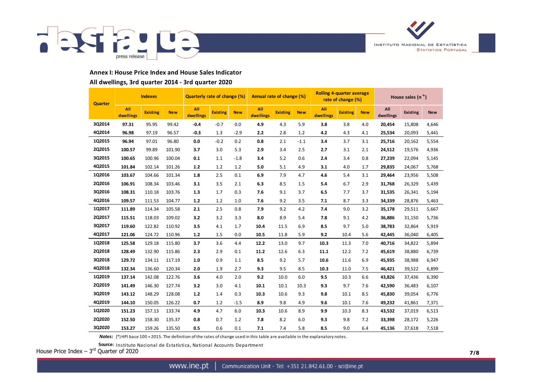



### **Annex I: House Price Index and House Sales Indicator**

#### **All dwellings, 3rd quarter 2014 - 3rd quarter 2020**

| <b>Quarter</b> | <b>Indexes</b>   |                 |            | <b>Quarterly rate of change (%)</b> |                 |            |                  |                 |            | Annual rate of change (%) |                 |            | <b>Rolling 4-quarter average</b><br>rate of change (%) |                 |            | House sales $(no)$ |  |  |  |
|----------------|------------------|-----------------|------------|-------------------------------------|-----------------|------------|------------------|-----------------|------------|---------------------------|-----------------|------------|--------------------------------------------------------|-----------------|------------|--------------------|--|--|--|
|                | All<br>dwellings | <b>Existing</b> | <b>New</b> | All<br>dwellings                    | <b>Existing</b> | <b>New</b> | All<br>dwellings | <b>Existing</b> | <b>New</b> | All<br>dwellings          | <b>Existing</b> | <b>New</b> | All<br>dwellings                                       | <b>Existing</b> | <b>New</b> |                    |  |  |  |
| 3Q2014         | 97.31            | 95.95           | 99.42      | $-0.4$                              | $-0.7$          | 0.0        | 4.9              | 4.3             | 5.9        | 3.8                       | 3.8             | 4.0        | 20,454                                                 | 15,808          | 4,646      |                    |  |  |  |
| 4Q2014         | 96.98            | 97.19           | 96.57      | $-0.3$                              | 1.3             | $-2.9$     | 2.2              | 2.8             | 1.2        | 4.2                       | 4.3             | 4.1        | 25,534                                                 | 20,093          | 5,441      |                    |  |  |  |
| 1Q2015         | 96.94            | 97.01           | 96.80      | 0.0                                 | $-0.2$          | 0.2        | 0.8              | 2.1             | $-1.1$     | 3.4                       | 3.7             | 3.1        | 25,716                                                 | 20,162          | 5,554      |                    |  |  |  |
| 2Q2015         | 100.57           | 99.89           | 101.90     | 3.7                                 | 3.0             | 5.3        | 2.9              | 3.4             | 2.5        | 2.7                       | 3.1             | 2.1        | 24,512                                                 | 19,576          | 4,936      |                    |  |  |  |
| 3Q2015         | 100.65           | 100.96          | 100.04     | 0.1                                 | 1.1             | $-1.8$     | 3.4              | 5.2             | 0.6        | 2.4                       | 3.4             | 0.8        | 27,239                                                 | 22,094          | 5,145      |                    |  |  |  |
| 4Q2015         | 101.84           | 102.14          | 101.26     | $1.2$                               | 1.2             | 1.2        | 5.0              | 5.1             | 4.9        | 3.1                       | 4.0             | 1.7        | 29,835                                                 | 24,067          | 5,768      |                    |  |  |  |
| 1Q2016         | 103.67           | 104.66          | 101.34     | 1.8                                 | 2.5             | 0.1        | 6.9              | 7.9             | 4.7        | 4.6                       | 5.4             | 3.1        | 29,464                                                 | 23,956          | 5,508      |                    |  |  |  |
| 2Q2016         | 106.91           | 108.34          | 103.46     | 3.1                                 | 3.5             | 2.1        | 6.3              | 8.5             | 1.5        | 5.4                       | 6.7             | 2.9        | 31,768                                                 | 26,329          | 5,439      |                    |  |  |  |
| 3Q2016         | 108.31           | 110.18          | 103.76     | 1.3                                 | 1.7             | 0.3        | 7.6              | 9.1             | 3.7        | 6.5                       | 7.7             | 3.7        | 31,535                                                 | 26,341          | 5,194      |                    |  |  |  |
| 4Q2016         | 109.57           | 111.53          | 104.77     | $1.2$                               | 1.2             | 1.0        | 7.6              | 9.2             | 3.5        | 7.1                       | 8.7             | 3.3        | 34,339                                                 | 28,876          | 5,463      |                    |  |  |  |
| 1Q2017         | 111.89           | 114.34          | 105.58     | 2.1                                 | 2.5             | 0.8        | 7.9              | 9.2             | 4.2        | 7.4                       | 9.0             | 3.2        | 35,178                                                 | 29,511          | 5,667      |                    |  |  |  |
| 2Q2017         | 115.51           | 118.03          | 109.02     | 3.2                                 | 3.2             | 3.3        | 8.0              | 8.9             | 5.4        | 7.8                       | 9.1             | 4.2        | 36,886                                                 | 31,150          | 5,736      |                    |  |  |  |
| 3Q2017         | 119.60           | 122.82          | 110.92     | 3.5                                 | 4.1             | 1.7        | 10.4             | 11.5            | 6.9        | 8.5                       | 9.7             | 5.0        | 38,783                                                 | 32,864          | 5,919      |                    |  |  |  |
| 4Q2017         | 121.06           | 124.72          | 110.96     | $1.2$                               | 1.5             | 0.0        | 10.5             | 11.8            | 5.9        | 9.2                       | 10.4            | 5.6        | 42,445                                                 | 36,040          | 6,405      |                    |  |  |  |
| 1Q2018         | 125.58           | 129.18          | 115.80     | 3.7                                 | 3.6             | 4.4        | 12.2             | 13.0            | 9.7        | 10.3                      | 11.3            | 7.0        | 40,716                                                 | 34,822          | 5,894      |                    |  |  |  |
| 2Q2018         | 128.49           | 132.90          | 115.86     | 2.3                                 | 2.9             | 0.1        | 11.2             | 12.6            | 6.3        | 11.1                      | 12.2            | 7.2        | 45,619                                                 | 38,880          | 6,739      |                    |  |  |  |
| 3Q2018         | 129.72           | 134.11          | 117.19     | 1.0                                 | 0.9             | 1.1        | 8.5              | 9.2             | 5.7        | 10.6                      | 11.6            | 6.9        | 45,935                                                 | 38,988          | 6,947      |                    |  |  |  |
| 4Q2018         | 132.34           | 136.60          | 120.34     | 2.0                                 | 1.9             | 2.7        | 9.3              | 9.5             | 8.5        | 10.3                      | 11.0            | 7.5        | 46,421                                                 | 39,522          | 6,899      |                    |  |  |  |
| 1Q2019         | 137.14           | 142.08          | 122.76     | 3.6                                 | 4.0             | 2.0        | 9.2              | 10.0            | 6.0        | 9.5                       | 10.3            | 6.6        | 43,826                                                 | 37,436          | 6,390      |                    |  |  |  |
| 2Q2019         | 141.49           | 146.30          | 127.74     | 3.2                                 | 3.0             | 4.1        | 10.1             | 10.1            | 10.3       | 9.3                       | 9.7             | 7.6        | 42,590                                                 | 36,483          | 6,107      |                    |  |  |  |
| 3Q2019         | 143.12           | 148.29          | 128.08     | $1.2$                               | 1.4             | 0.3        | 10.3             | 10.6            | 9.3        | 9.8                       | 10.1            | 8.5        | 45,830                                                 | 39,054          | 6,776      |                    |  |  |  |
| 4Q2019         | 144.10           | 150.05          | 126.22     | 0.7                                 | 1.2             | $-1.5$     | 8.9              | 9.8             | 4.9        | 9.6                       | 10.1            | 7.6        | 49,232                                                 | 41,861          | 7,371      |                    |  |  |  |
| 1Q2020         | 151.23           | 157.13          | 133.74     | 4.9                                 | 4.7             | 6.0        | 10.3             | 10.6            | 8.9        | 9.9                       | 10.3            | 8.3        | 43,532                                                 | 37,019          | 6,513      |                    |  |  |  |
| 2Q2020         | 152.50           | 158.30          | 135.37     | 0.8                                 | 0.7             | 1.2        | 7.8              | 8.2             | 6.0        | 9.3                       | 9.8             | 7.2        | 33,398                                                 | 28,172          | 5,226      |                    |  |  |  |
| 3Q2020         | 153.27           | 159.26          | 135.50     | 0.5                                 | 0.6             | 0.1        | 7.1              | 7.4             | 5.8        | 8.5                       | 9.0             | 6.4        | 45,136                                                 | 37,618          | 7,518      |                    |  |  |  |

*Notes:* (\*) HPI base 100 = 2015. The definition of the rates of change used in this table are available in the explanatory notes.

**Source:** Instituto Nacional de Estatística, National Accounts Department

House Price Index – 3<sup>rd</sup> Quarter of 2020 **7/8**